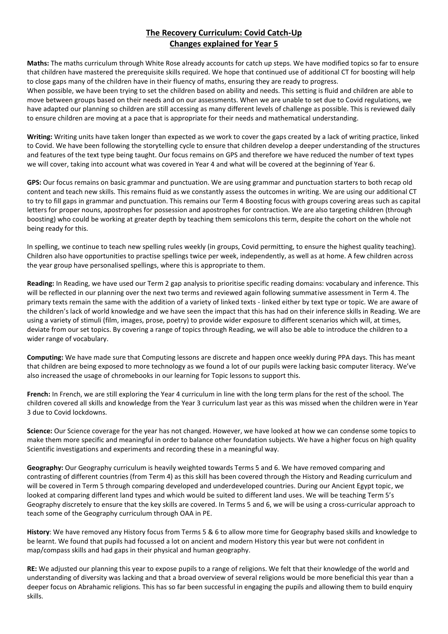## **The Recovery Curriculum: Covid Catch-Up Changes explained for Year 5**

**Maths:** The maths curriculum through White Rose already accounts for catch up steps. We have modified topics so far to ensure that children have mastered the prerequisite skills required. We hope that continued use of additional CT for boosting will help to close gaps many of the children have in their fluency of maths, ensuring they are ready to progress.

When possible, we have been trying to set the children based on ability and needs. This setting is fluid and children are able to move between groups based on their needs and on our assessments. When we are unable to set due to Covid regulations, we have adapted our planning so children are still accessing as many different levels of challenge as possible. This is reviewed daily to ensure children are moving at a pace that is appropriate for their needs and mathematical understanding.

**Writing:** Writing units have taken longer than expected as we work to cover the gaps created by a lack of writing practice, linked to Covid. We have been following the storytelling cycle to ensure that children develop a deeper understanding of the structures and features of the text type being taught. Our focus remains on GPS and therefore we have reduced the number of text types we will cover, taking into account what was covered in Year 4 and what will be covered at the beginning of Year 6.

**GPS:** Our focus remains on basic grammar and punctuation. We are using grammar and punctuation starters to both recap old content and teach new skills. This remains fluid as we constantly assess the outcomes in writing. We are using our additional CT to try to fill gaps in grammar and punctuation. This remains our Term 4 Boosting focus with groups covering areas such as capital letters for proper nouns, apostrophes for possession and apostrophes for contraction. We are also targeting children (through boosting) who could be working at greater depth by teaching them semicolons this term, despite the cohort on the whole not being ready for this.

In spelling, we continue to teach new spelling rules weekly (in groups, Covid permitting, to ensure the highest quality teaching). Children also have opportunities to practise spellings twice per week, independently, as well as at home. A few children across the year group have personalised spellings, where this is appropriate to them.

**Reading:** In Reading, we have used our Term 2 gap analysis to prioritise specific reading domains: vocabulary and inference. This will be reflected in our planning over the next two terms and reviewed again following summative assessment in Term 4. The primary texts remain the same with the addition of a variety of linked texts - linked either by text type or topic. We are aware of the children's lack of world knowledge and we have seen the impact that this has had on their inference skills in Reading. We are using a variety of stimuli (film, images, prose, poetry) to provide wider exposure to different scenarios which will, at times, deviate from our set topics. By covering a range of topics through Reading, we will also be able to introduce the children to a wider range of vocabulary.

**Computing:** We have made sure that Computing lessons are discrete and happen once weekly during PPA days. This has meant that children are being exposed to more technology as we found a lot of our pupils were lacking basic computer literacy. We've also increased the usage of chromebooks in our learning for Topic lessons to support this.

**French:** In French, we are still exploring the Year 4 curriculum in line with the long term plans for the rest of the school. The children covered all skills and knowledge from the Year 3 curriculum last year as this was missed when the children were in Year 3 due to Covid lockdowns.

**Science:** Our Science coverage for the year has not changed. However, we have looked at how we can condense some topics to make them more specific and meaningful in order to balance other foundation subjects. We have a higher focus on high quality Scientific investigations and experiments and recording these in a meaningful way.

**Geography:** Our Geography curriculum is heavily weighted towards Terms 5 and 6. We have removed comparing and contrasting of different countries (from Term 4) as this skill has been covered through the History and Reading curriculum and will be covered in Term 5 through comparing developed and underdeveloped countries. During our Ancient Egypt topic, we looked at comparing different land types and which would be suited to different land uses. We will be teaching Term 5's Geography discretely to ensure that the key skills are covered. In Terms 5 and 6, we will be using a cross-curricular approach to teach some of the Geography curriculum through OAA in PE.

**History**: We have removed any History focus from Terms 5 & 6 to allow more time for Geography based skills and knowledge to be learnt. We found that pupils had focussed a lot on ancient and modern History this year but were not confident in map/compass skills and had gaps in their physical and human geography.

**RE:** We adjusted our planning this year to expose pupils to a range of religions. We felt that their knowledge of the world and understanding of diversity was lacking and that a broad overview of several religions would be more beneficial this year than a deeper focus on Abrahamic religions. This has so far been successful in engaging the pupils and allowing them to build enquiry skills.